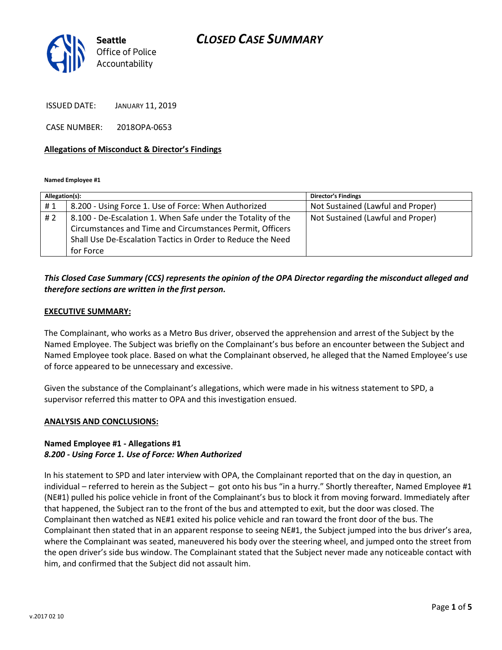## CLOSED CASE SUMMARY



ISSUED DATE: JANUARY 11, 2019

CASE NUMBER: 2018OPA-0653

### Allegations of Misconduct & Director's Findings

Named Employee #1

| Allegation(s): |                                                                                                                                                                                                       | <b>Director's Findings</b>        |
|----------------|-------------------------------------------------------------------------------------------------------------------------------------------------------------------------------------------------------|-----------------------------------|
| #1             | 8.200 - Using Force 1. Use of Force: When Authorized                                                                                                                                                  | Not Sustained (Lawful and Proper) |
| #2             | 8.100 - De-Escalation 1. When Safe under the Totality of the<br>Circumstances and Time and Circumstances Permit, Officers<br>Shall Use De-Escalation Tactics in Order to Reduce the Need<br>for Force | Not Sustained (Lawful and Proper) |
|                |                                                                                                                                                                                                       |                                   |

## This Closed Case Summary (CCS) represents the opinion of the OPA Director regarding the misconduct alleged and therefore sections are written in the first person.

### EXECUTIVE SUMMARY:

The Complainant, who works as a Metro Bus driver, observed the apprehension and arrest of the Subject by the Named Employee. The Subject was briefly on the Complainant's bus before an encounter between the Subject and Named Employee took place. Based on what the Complainant observed, he alleged that the Named Employee's use of force appeared to be unnecessary and excessive.

Given the substance of the Complainant's allegations, which were made in his witness statement to SPD, a supervisor referred this matter to OPA and this investigation ensued.

#### ANALYSIS AND CONCLUSIONS:

### Named Employee #1 - Allegations #1 8.200 - Using Force 1. Use of Force: When Authorized

In his statement to SPD and later interview with OPA, the Complainant reported that on the day in question, an individual – referred to herein as the Subject – got onto his bus "in a hurry." Shortly thereafter, Named Employee #1 (NE#1) pulled his police vehicle in front of the Complainant's bus to block it from moving forward. Immediately after that happened, the Subject ran to the front of the bus and attempted to exit, but the door was closed. The Complainant then watched as NE#1 exited his police vehicle and ran toward the front door of the bus. The Complainant then stated that in an apparent response to seeing NE#1, the Subject jumped into the bus driver's area, where the Complainant was seated, maneuvered his body over the steering wheel, and jumped onto the street from the open driver's side bus window. The Complainant stated that the Subject never made any noticeable contact with him, and confirmed that the Subject did not assault him.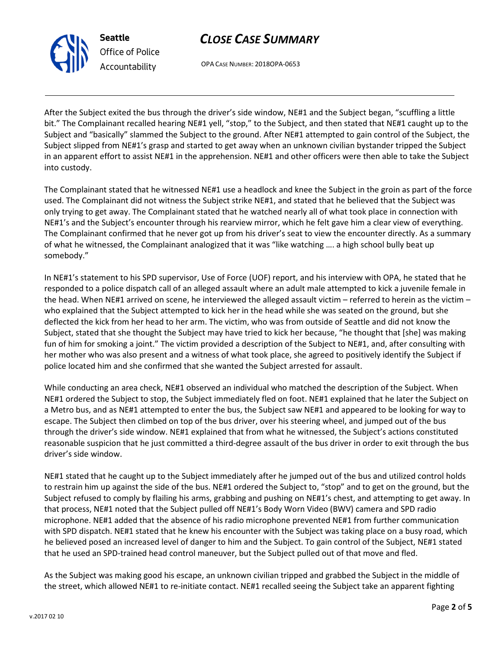



OPA CASE NUMBER: 2018OPA-0653

After the Subject exited the bus through the driver's side window, NE#1 and the Subject began, "scuffling a little bit." The Complainant recalled hearing NE#1 yell, "stop," to the Subject, and then stated that NE#1 caught up to the Subject and "basically" slammed the Subject to the ground. After NE#1 attempted to gain control of the Subject, the Subject slipped from NE#1's grasp and started to get away when an unknown civilian bystander tripped the Subject in an apparent effort to assist NE#1 in the apprehension. NE#1 and other officers were then able to take the Subject into custody.

The Complainant stated that he witnessed NE#1 use a headlock and knee the Subject in the groin as part of the force used. The Complainant did not witness the Subject strike NE#1, and stated that he believed that the Subject was only trying to get away. The Complainant stated that he watched nearly all of what took place in connection with NE#1's and the Subject's encounter through his rearview mirror, which he felt gave him a clear view of everything. The Complainant confirmed that he never got up from his driver's seat to view the encounter directly. As a summary of what he witnessed, the Complainant analogized that it was "like watching …. a high school bully beat up somebody."

In NE#1's statement to his SPD supervisor, Use of Force (UOF) report, and his interview with OPA, he stated that he responded to a police dispatch call of an alleged assault where an adult male attempted to kick a juvenile female in the head. When NE#1 arrived on scene, he interviewed the alleged assault victim – referred to herein as the victim – who explained that the Subject attempted to kick her in the head while she was seated on the ground, but she deflected the kick from her head to her arm. The victim, who was from outside of Seattle and did not know the Subject, stated that she thought the Subject may have tried to kick her because, "he thought that [she] was making fun of him for smoking a joint." The victim provided a description of the Subject to NE#1, and, after consulting with her mother who was also present and a witness of what took place, she agreed to positively identify the Subject if police located him and she confirmed that she wanted the Subject arrested for assault.

While conducting an area check, NE#1 observed an individual who matched the description of the Subject. When NE#1 ordered the Subject to stop, the Subject immediately fled on foot. NE#1 explained that he later the Subject on a Metro bus, and as NE#1 attempted to enter the bus, the Subject saw NE#1 and appeared to be looking for way to escape. The Subject then climbed on top of the bus driver, over his steering wheel, and jumped out of the bus through the driver's side window. NE#1 explained that from what he witnessed, the Subject's actions constituted reasonable suspicion that he just committed a third-degree assault of the bus driver in order to exit through the bus driver's side window.

NE#1 stated that he caught up to the Subject immediately after he jumped out of the bus and utilized control holds to restrain him up against the side of the bus. NE#1 ordered the Subject to, "stop" and to get on the ground, but the Subject refused to comply by flailing his arms, grabbing and pushing on NE#1's chest, and attempting to get away. In that process, NE#1 noted that the Subject pulled off NE#1's Body Worn Video (BWV) camera and SPD radio microphone. NE#1 added that the absence of his radio microphone prevented NE#1 from further communication with SPD dispatch. NE#1 stated that he knew his encounter with the Subject was taking place on a busy road, which he believed posed an increased level of danger to him and the Subject. To gain control of the Subject, NE#1 stated that he used an SPD-trained head control maneuver, but the Subject pulled out of that move and fled.

As the Subject was making good his escape, an unknown civilian tripped and grabbed the Subject in the middle of the street, which allowed NE#1 to re-initiate contact. NE#1 recalled seeing the Subject take an apparent fighting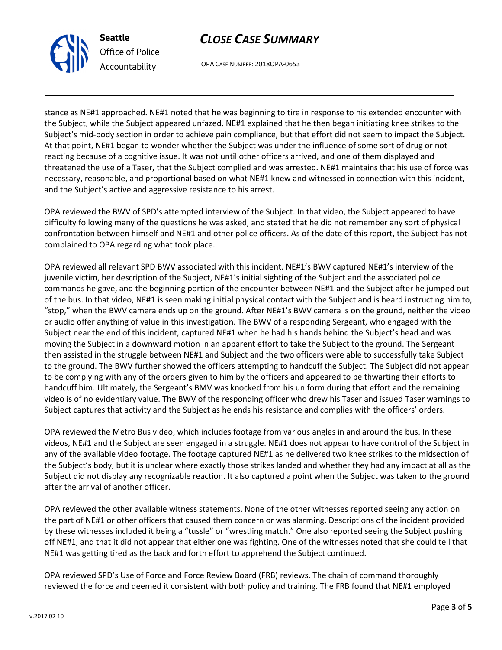



OPA CASE NUMBER: 2018OPA-0653

stance as NE#1 approached. NE#1 noted that he was beginning to tire in response to his extended encounter with the Subject, while the Subject appeared unfazed. NE#1 explained that he then began initiating knee strikes to the Subject's mid-body section in order to achieve pain compliance, but that effort did not seem to impact the Subject. At that point, NE#1 began to wonder whether the Subject was under the influence of some sort of drug or not reacting because of a cognitive issue. It was not until other officers arrived, and one of them displayed and threatened the use of a Taser, that the Subject complied and was arrested. NE#1 maintains that his use of force was necessary, reasonable, and proportional based on what NE#1 knew and witnessed in connection with this incident, and the Subject's active and aggressive resistance to his arrest.

OPA reviewed the BWV of SPD's attempted interview of the Subject. In that video, the Subject appeared to have difficulty following many of the questions he was asked, and stated that he did not remember any sort of physical confrontation between himself and NE#1 and other police officers. As of the date of this report, the Subject has not complained to OPA regarding what took place.

OPA reviewed all relevant SPD BWV associated with this incident. NE#1's BWV captured NE#1's interview of the juvenile victim, her description of the Subject, NE#1's initial sighting of the Subject and the associated police commands he gave, and the beginning portion of the encounter between NE#1 and the Subject after he jumped out of the bus. In that video, NE#1 is seen making initial physical contact with the Subject and is heard instructing him to, "stop," when the BWV camera ends up on the ground. After NE#1's BWV camera is on the ground, neither the video or audio offer anything of value in this investigation. The BWV of a responding Sergeant, who engaged with the Subject near the end of this incident, captured NE#1 when he had his hands behind the Subject's head and was moving the Subject in a downward motion in an apparent effort to take the Subject to the ground. The Sergeant then assisted in the struggle between NE#1 and Subject and the two officers were able to successfully take Subject to the ground. The BWV further showed the officers attempting to handcuff the Subject. The Subject did not appear to be complying with any of the orders given to him by the officers and appeared to be thwarting their efforts to handcuff him. Ultimately, the Sergeant's BMV was knocked from his uniform during that effort and the remaining video is of no evidentiary value. The BWV of the responding officer who drew his Taser and issued Taser warnings to Subject captures that activity and the Subject as he ends his resistance and complies with the officers' orders.

OPA reviewed the Metro Bus video, which includes footage from various angles in and around the bus. In these videos, NE#1 and the Subject are seen engaged in a struggle. NE#1 does not appear to have control of the Subject in any of the available video footage. The footage captured NE#1 as he delivered two knee strikes to the midsection of the Subject's body, but it is unclear where exactly those strikes landed and whether they had any impact at all as the Subject did not display any recognizable reaction. It also captured a point when the Subject was taken to the ground after the arrival of another officer.

OPA reviewed the other available witness statements. None of the other witnesses reported seeing any action on the part of NE#1 or other officers that caused them concern or was alarming. Descriptions of the incident provided by these witnesses included it being a "tussle" or "wrestling match." One also reported seeing the Subject pushing off NE#1, and that it did not appear that either one was fighting. One of the witnesses noted that she could tell that NE#1 was getting tired as the back and forth effort to apprehend the Subject continued.

OPA reviewed SPD's Use of Force and Force Review Board (FRB) reviews. The chain of command thoroughly reviewed the force and deemed it consistent with both policy and training. The FRB found that NE#1 employed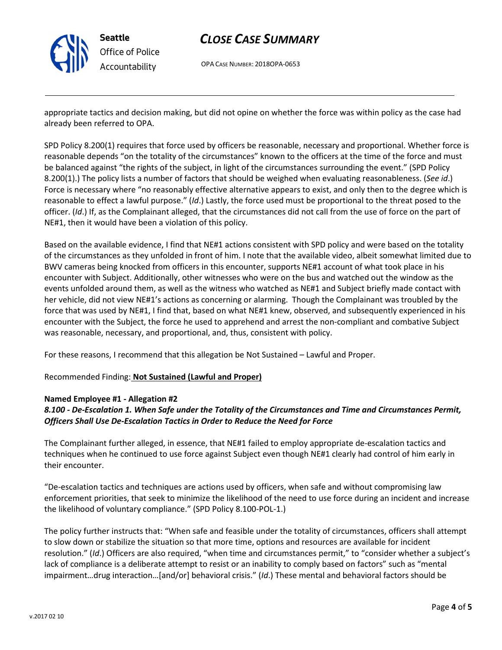

# CLOSE CASE SUMMARY

OPA CASE NUMBER: 2018OPA-0653

appropriate tactics and decision making, but did not opine on whether the force was within policy as the case had already been referred to OPA.

SPD Policy 8.200(1) requires that force used by officers be reasonable, necessary and proportional. Whether force is reasonable depends "on the totality of the circumstances" known to the officers at the time of the force and must be balanced against "the rights of the subject, in light of the circumstances surrounding the event." (SPD Policy 8.200(1).) The policy lists a number of factors that should be weighed when evaluating reasonableness. (See id.) Force is necessary where "no reasonably effective alternative appears to exist, and only then to the degree which is reasonable to effect a lawful purpose." (Id.) Lastly, the force used must be proportional to the threat posed to the officer. (Id.) If, as the Complainant alleged, that the circumstances did not call from the use of force on the part of NE#1, then it would have been a violation of this policy.

Based on the available evidence, I find that NE#1 actions consistent with SPD policy and were based on the totality of the circumstances as they unfolded in front of him. I note that the available video, albeit somewhat limited due to BWV cameras being knocked from officers in this encounter, supports NE#1 account of what took place in his encounter with Subject. Additionally, other witnesses who were on the bus and watched out the window as the events unfolded around them, as well as the witness who watched as NE#1 and Subject briefly made contact with her vehicle, did not view NE#1's actions as concerning or alarming. Though the Complainant was troubled by the force that was used by NE#1, I find that, based on what NE#1 knew, observed, and subsequently experienced in his encounter with the Subject, the force he used to apprehend and arrest the non-compliant and combative Subject was reasonable, necessary, and proportional, and, thus, consistent with policy.

For these reasons, I recommend that this allegation be Not Sustained – Lawful and Proper.

Recommended Finding: Not Sustained (Lawful and Proper)

### Named Employee #1 - Allegation #2

## 8.100 - De-Escalation 1. When Safe under the Totality of the Circumstances and Time and Circumstances Permit, Officers Shall Use De-Escalation Tactics in Order to Reduce the Need for Force

The Complainant further alleged, in essence, that NE#1 failed to employ appropriate de-escalation tactics and techniques when he continued to use force against Subject even though NE#1 clearly had control of him early in their encounter.

"De-escalation tactics and techniques are actions used by officers, when safe and without compromising law enforcement priorities, that seek to minimize the likelihood of the need to use force during an incident and increase the likelihood of voluntary compliance." (SPD Policy 8.100-POL-1.)

The policy further instructs that: "When safe and feasible under the totality of circumstances, officers shall attempt to slow down or stabilize the situation so that more time, options and resources are available for incident resolution." (Id.) Officers are also required, "when time and circumstances permit," to "consider whether a subject's lack of compliance is a deliberate attempt to resist or an inability to comply based on factors" such as "mental impairment…drug interaction…[and/or] behavioral crisis." (Id.) These mental and behavioral factors should be